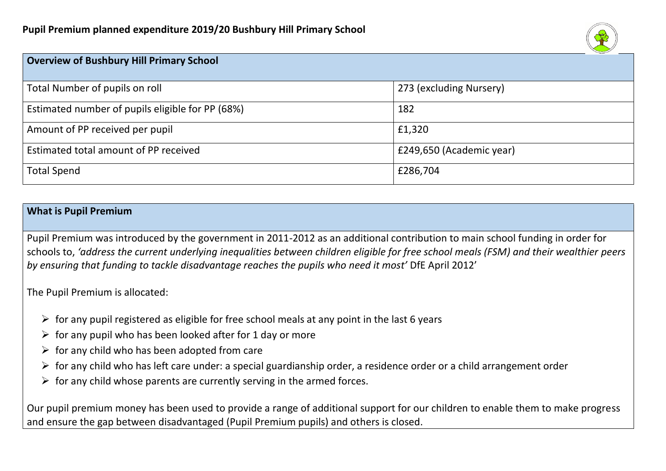

| <b>Overview of Bushbury Hill Primary School</b>  |                          |
|--------------------------------------------------|--------------------------|
| Total Number of pupils on roll                   | 273 (excluding Nursery)  |
| Estimated number of pupils eligible for PP (68%) | 182                      |
| Amount of PP received per pupil                  | £1,320                   |
| Estimated total amount of PP received            | £249,650 (Academic year) |
| <b>Total Spend</b>                               | £286,704                 |

#### **What is Pupil Premium**

Pupil Premium was introduced by the government in 2011-2012 as an additional contribution to main school funding in order for schools to, *'address the current underlying inequalities between children eligible for free school meals (FSM) and their wealthier peers by ensuring that funding to tackle disadvantage reaches the pupils who need it most'* DfE April 2012'

The Pupil Premium is allocated:

- $\triangleright$  for any pupil registered as eligible for free school meals at any point in the last 6 years
- $\triangleright$  for any pupil who has been looked after for 1 day or more
- $\triangleright$  for any child who has been adopted from care
- $\triangleright$  for any child who has left care under: a special guardianship order, a residence order or a child arrangement order
- $\triangleright$  for any child whose parents are currently serving in the armed forces.

Our pupil premium money has been used to provide a range of additional support for our children to enable them to make progress and ensure the gap between disadvantaged (Pupil Premium pupils) and others is closed.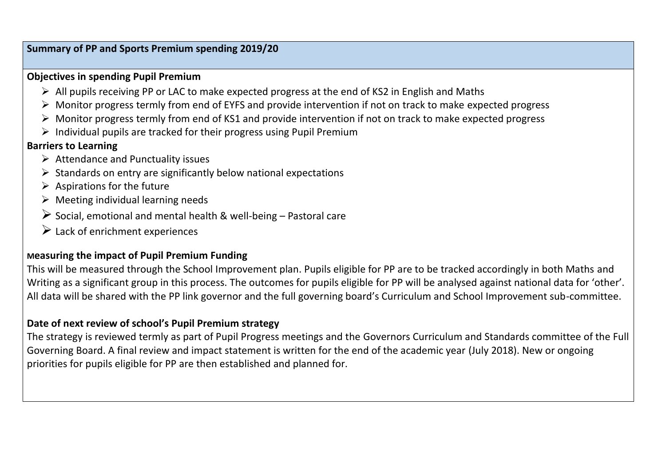#### **Summary of PP and Sports Premium spending 2019/20**

#### **Objectives in spending Pupil Premium**

- $\triangleright$  All pupils receiving PP or LAC to make expected progress at the end of KS2 in English and Maths
- ➢ Monitor progress termly from end of EYFS and provide intervention if not on track to make expected progress
- ➢ Monitor progress termly from end of KS1 and provide intervention if not on track to make expected progress
- $\triangleright$  Individual pupils are tracked for their progress using Pupil Premium

# **Barriers to Learning**

- ➢ Attendance and Punctuality issues
- ➢ Standards on entry are significantly below national expectations
- $\triangleright$  Aspirations for the future
- $\triangleright$  Meeting individual learning needs
- $\triangleright$  Social, emotional and mental health & well-being Pastoral care
- $\triangleright$  Lack of enrichment experiences

# **Measuring the impact of Pupil Premium Funding**

This will be measured through the School Improvement plan. Pupils eligible for PP are to be tracked accordingly in both Maths and Writing as a significant group in this process. The outcomes for pupils eligible for PP will be analysed against national data for 'other'. All data will be shared with the PP link governor and the full governing board's Curriculum and School Improvement sub-committee.

# **Date of next review of school's Pupil Premium strategy**

The strategy is reviewed termly as part of Pupil Progress meetings and the Governors Curriculum and Standards committee of the Full Governing Board. A final review and impact statement is written for the end of the academic year (July 2018). New or ongoing priorities for pupils eligible for PP are then established and planned for.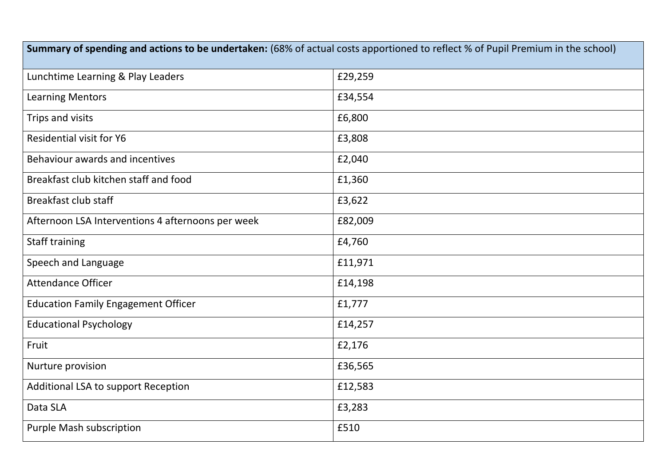| Summary of spending and actions to be undertaken: (68% of actual costs apportioned to reflect % of Pupil Premium in the school) |         |  |  |  |
|---------------------------------------------------------------------------------------------------------------------------------|---------|--|--|--|
| Lunchtime Learning & Play Leaders                                                                                               | £29,259 |  |  |  |
| <b>Learning Mentors</b>                                                                                                         | £34,554 |  |  |  |
| Trips and visits                                                                                                                | £6,800  |  |  |  |
| <b>Residential visit for Y6</b>                                                                                                 | £3,808  |  |  |  |
| Behaviour awards and incentives                                                                                                 | £2,040  |  |  |  |
| Breakfast club kitchen staff and food                                                                                           | £1,360  |  |  |  |
| <b>Breakfast club staff</b>                                                                                                     | £3,622  |  |  |  |
| Afternoon LSA Interventions 4 afternoons per week                                                                               | £82,009 |  |  |  |
| <b>Staff training</b>                                                                                                           | £4,760  |  |  |  |
| Speech and Language                                                                                                             | £11,971 |  |  |  |
| <b>Attendance Officer</b>                                                                                                       | £14,198 |  |  |  |
| <b>Education Family Engagement Officer</b>                                                                                      | £1,777  |  |  |  |
| <b>Educational Psychology</b>                                                                                                   | £14,257 |  |  |  |
| Fruit                                                                                                                           | £2,176  |  |  |  |
| Nurture provision                                                                                                               | £36,565 |  |  |  |
| Additional LSA to support Reception                                                                                             | £12,583 |  |  |  |
| Data SLA                                                                                                                        | £3,283  |  |  |  |
| <b>Purple Mash subscription</b>                                                                                                 | £510    |  |  |  |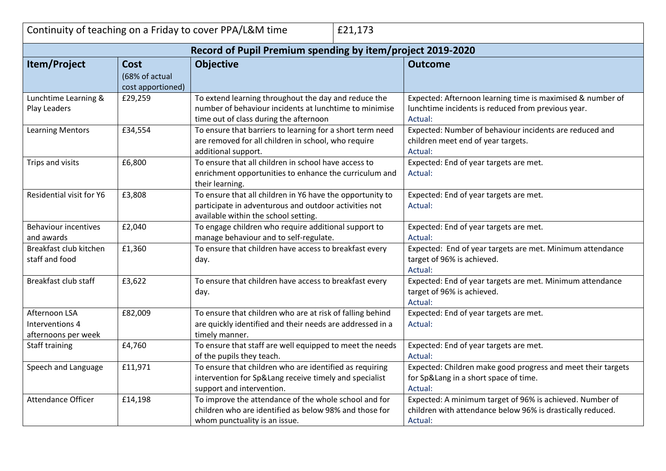|                                                            |                                                    | Continuity of teaching on a Friday to cover PPA/L&M time                                                                                                   | £21,173 |                                                                                                                                   |  |
|------------------------------------------------------------|----------------------------------------------------|------------------------------------------------------------------------------------------------------------------------------------------------------------|---------|-----------------------------------------------------------------------------------------------------------------------------------|--|
| Record of Pupil Premium spending by item/project 2019-2020 |                                                    |                                                                                                                                                            |         |                                                                                                                                   |  |
| Item/Project                                               | <b>Cost</b><br>(68% of actual<br>cost apportioned) | <b>Objective</b>                                                                                                                                           |         | <b>Outcome</b>                                                                                                                    |  |
| Lunchtime Learning &<br>Play Leaders                       | £29,259                                            | To extend learning throughout the day and reduce the<br>number of behaviour incidents at lunchtime to minimise<br>time out of class during the afternoon   |         | Expected: Afternoon learning time is maximised & number of<br>lunchtime incidents is reduced from previous year.<br>Actual:       |  |
| <b>Learning Mentors</b>                                    | £34,554                                            | To ensure that barriers to learning for a short term need<br>are removed for all children in school, who require<br>additional support.                    |         | Expected: Number of behaviour incidents are reduced and<br>children meet end of year targets.<br>Actual:                          |  |
| Trips and visits                                           | £6,800                                             | To ensure that all children in school have access to<br>enrichment opportunities to enhance the curriculum and<br>their learning.                          |         | Expected: End of year targets are met.<br>Actual:                                                                                 |  |
| Residential visit for Y6                                   | £3,808                                             | To ensure that all children in Y6 have the opportunity to<br>participate in adventurous and outdoor activities not<br>available within the school setting. |         | Expected: End of year targets are met.<br>Actual:                                                                                 |  |
| <b>Behaviour incentives</b><br>and awards                  | £2,040                                             | To engage children who require additional support to<br>manage behaviour and to self-regulate.                                                             |         | Expected: End of year targets are met.<br>Actual:                                                                                 |  |
| Breakfast club kitchen<br>staff and food                   | £1,360                                             | To ensure that children have access to breakfast every<br>day.                                                                                             |         | Expected: End of year targets are met. Minimum attendance<br>target of 96% is achieved.<br>Actual:                                |  |
| Breakfast club staff                                       | £3,622                                             | To ensure that children have access to breakfast every<br>day.                                                                                             |         | Expected: End of year targets are met. Minimum attendance<br>target of 96% is achieved.<br>Actual:                                |  |
| Afternoon LSA<br>Interventions 4<br>afternoons per week    | £82,009                                            | To ensure that children who are at risk of falling behind<br>are quickly identified and their needs are addressed in a<br>timely manner.                   |         | Expected: End of year targets are met.<br>Actual:                                                                                 |  |
| Staff training                                             | £4,760                                             | To ensure that staff are well equipped to meet the needs<br>of the pupils they teach.                                                                      |         | Expected: End of year targets are met.<br>Actual:                                                                                 |  |
| Speech and Language                                        | £11,971                                            | To ensure that children who are identified as requiring<br>intervention for Sp⟪ receive timely and specialist<br>support and intervention.                 |         | Expected: Children make good progress and meet their targets<br>for Sp⟪ in a short space of time.<br>Actual:                      |  |
| Attendance Officer                                         | £14,198                                            | To improve the attendance of the whole school and for<br>children who are identified as below 98% and those for<br>whom punctuality is an issue.           |         | Expected: A minimum target of 96% is achieved. Number of<br>children with attendance below 96% is drastically reduced.<br>Actual: |  |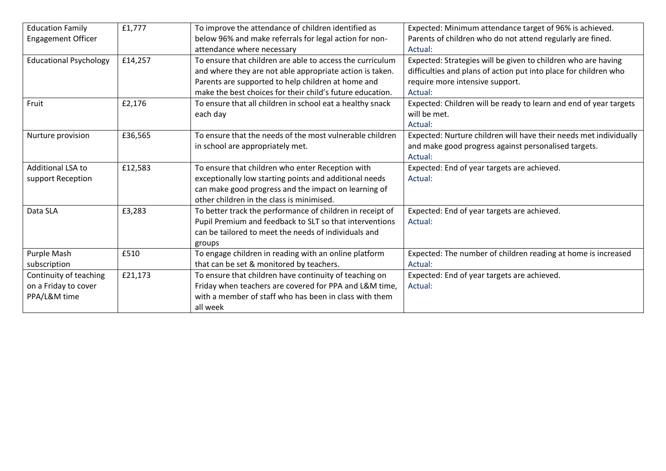| <b>Education Family</b>       | £1,777  | To improve the attendance of children identified as       | Expected: Minimum attendance target of 96% is achieved.           |
|-------------------------------|---------|-----------------------------------------------------------|-------------------------------------------------------------------|
| <b>Engagement Officer</b>     |         | below 96% and make referrals for legal action for non-    | Parents of children who do not attend regularly are fined.        |
|                               |         | attendance where necessary                                | Actual:                                                           |
| <b>Educational Psychology</b> | £14,257 | To ensure that children are able to access the curriculum | Expected: Strategies will be given to children who are having     |
|                               |         | and where they are not able appropriate action is taken.  | difficulties and plans of action put into place for children who  |
|                               |         | Parents are supported to help children at home and        | require more intensive support.                                   |
|                               |         | make the best choices for their child's future education. | Actual:                                                           |
| Fruit                         | £2,176  | To ensure that all children in school eat a healthy snack | Expected: Children will be ready to learn and end of year targets |
|                               |         | each day                                                  | will be met.                                                      |
|                               |         |                                                           | Actual:                                                           |
| Nurture provision             | £36,565 | To ensure that the needs of the most vulnerable children  | Expected: Nurture children will have their needs met individually |
|                               |         | in school are appropriately met.                          | and make good progress against personalised targets.              |
|                               |         |                                                           | Actual:                                                           |
| <b>Additional LSA to</b>      | £12,583 | To ensure that children who enter Reception with          | Expected: End of year targets are achieved.                       |
| support Reception             |         | exceptionally low starting points and additional needs    | Actual:                                                           |
|                               |         | can make good progress and the impact on learning of      |                                                                   |
|                               |         | other children in the class is minimised.                 |                                                                   |
| Data SLA                      | £3,283  | To better track the performance of children in receipt of | Expected: End of year targets are achieved.                       |
|                               |         | Pupil Premium and feedback to SLT so that interventions   | Actual:                                                           |
|                               |         | can be tailored to meet the needs of individuals and      |                                                                   |
|                               |         | groups                                                    |                                                                   |
| Purple Mash                   | £510    | To engage children in reading with an online platform     | Expected: The number of children reading at home is increased     |
| subscription                  |         | that can be set & monitored by teachers.                  | Actual:                                                           |
| Continuity of teaching        | £21,173 | To ensure that children have continuity of teaching on    | Expected: End of year targets are achieved.                       |
| on a Friday to cover          |         | Friday when teachers are covered for PPA and L&M time,    | Actual:                                                           |
| PPA/L&M time                  |         | with a member of staff who has been in class with them    |                                                                   |
|                               |         | all week                                                  |                                                                   |